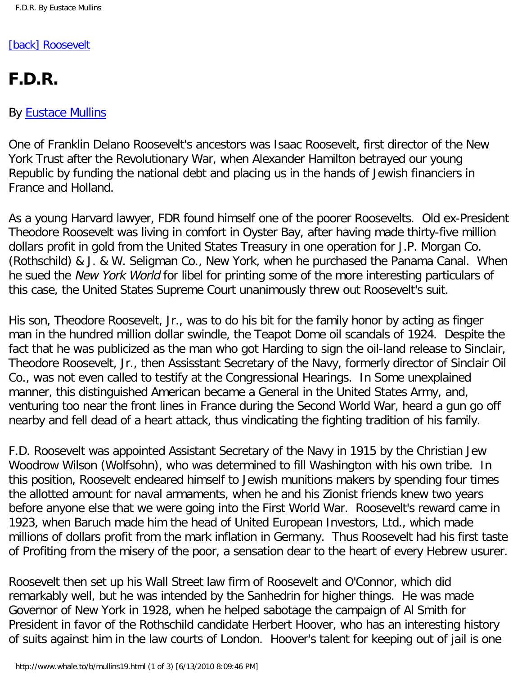## [\[back\] Roosevelt](http://www.whale.to/b/franklin_roosevelt.html)

## **F.D.R.**

## By [Eustace Mullins](http://www.whale.to/b/mullins_h.html)

One of Franklin Delano Roosevelt's ancestors was Isaac Roosevelt, first director of the New York Trust after the Revolutionary War, when Alexander Hamilton betrayed our young Republic by funding the national debt and placing us in the hands of Jewish financiers in France and Holland.

As a young Harvard lawyer, FDR found himself one of the poorer Roosevelts. Old ex-President Theodore Roosevelt was living in comfort in Oyster Bay, after having made thirty-five million dollars profit in gold from the United States Treasury in one operation for J.P. Morgan Co. (Rothschild) & J. & W. Seligman Co., New York, when he purchased the Panama Canal. When he sued the New York World for libel for printing some of the more interesting particulars of this case, the United States Supreme Court unanimously threw out Roosevelt's suit.

His son, Theodore Roosevelt, Jr., was to do his bit for the family honor by acting as finger man in the hundred million dollar swindle, the Teapot Dome oil scandals of 1924. Despite the fact that he was publicized as the man who got Harding to sign the oil-land release to Sinclair, Theodore Roosevelt, Jr., then Assisstant Secretary of the Navy, formerly director of Sinclair Oil Co., was not even called to testify at the Congressional Hearings. In Some unexplained manner, this distinguished American became a General in the United States Army, and, venturing too near the front lines in France during the Second World War, heard a gun go off nearby and fell dead of a heart attack, thus vindicating the fighting tradition of his family.

F.D. Roosevelt was appointed Assistant Secretary of the Navy in 1915 by the Christian Jew Woodrow Wilson (Wolfsohn), who was determined to fill Washington with his own tribe. In this position, Roosevelt endeared himself to Jewish munitions makers by spending four times the allotted amount for naval armaments, when he and his Zionist friends knew two years before anyone else that we were going into the First World War. Roosevelt's reward came in 1923, when Baruch made him the head of United European Investors, Ltd., which made millions of dollars profit from the mark inflation in Germany. Thus Roosevelt had his first taste of Profiting from the misery of the poor, a sensation dear to the heart of every Hebrew usurer.

Roosevelt then set up his Wall Street law firm of Roosevelt and O'Connor, which did remarkably well, but he was intended by the Sanhedrin for higher things. He was made Governor of New York in 1928, when he helped sabotage the campaign of Al Smith for President in favor of the Rothschild candidate Herbert Hoover, who has an interesting history of suits against him in the law courts of London. Hoover's talent for keeping out of jail is one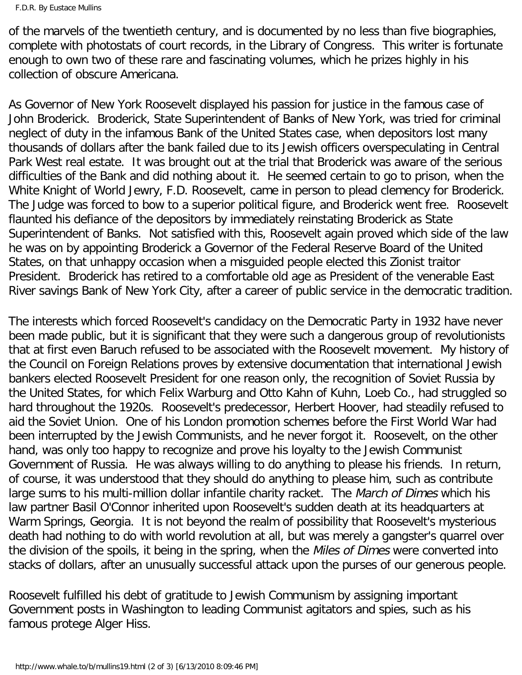of the marvels of the twentieth century, and is documented by no less than five biographies, complete with photostats of court records, in the Library of Congress. This writer is fortunate enough to own two of these rare and fascinating volumes, which he prizes highly in his collection of obscure Americana.

As Governor of New York Roosevelt displayed his passion for justice in the famous case of John Broderick. Broderick, State Superintendent of Banks of New York, was tried for criminal neglect of duty in the infamous Bank of the United States case, when depositors lost many thousands of dollars after the bank failed due to its Jewish officers overspeculating in Central Park West real estate. It was brought out at the trial that Broderick was aware of the serious difficulties of the Bank and did nothing about it. He seemed certain to go to prison, when the White Knight of World Jewry, F.D. Roosevelt, came in person to plead clemency for Broderick. The Judge was forced to bow to a superior political figure, and Broderick went free. Roosevelt flaunted his defiance of the depositors by immediately reinstating Broderick as State Superintendent of Banks. Not satisfied with this, Roosevelt again proved which side of the law he was on by appointing Broderick a Governor of the Federal Reserve Board of the United States, on that unhappy occasion when a misguided people elected this Zionist traitor President. Broderick has retired to a comfortable old age as President of the venerable East River savings Bank of New York City, after a career of public service in the democratic tradition.

The interests which forced Roosevelt's candidacy on the Democratic Party in 1932 have never been made public, but it is significant that they were such a dangerous group of revolutionists that at first even Baruch refused to be associated with the Roosevelt movement. My history of the Council on Foreign Relations proves by extensive documentation that international Jewish bankers elected Roosevelt President for one reason only, the recognition of Soviet Russia by the United States, for which Felix Warburg and Otto Kahn of Kuhn, Loeb Co., had struggled so hard throughout the 1920s. Roosevelt's predecessor, Herbert Hoover, had steadily refused to aid the Soviet Union. One of his London promotion schemes before the First World War had been interrupted by the Jewish Communists, and he never forgot it. Roosevelt, on the other hand, was only too happy to recognize and prove his loyalty to the Jewish Communist Government of Russia. He was always willing to do anything to please his friends. In return, of course, it was understood that they should do anything to please him, such as contribute large sums to his multi-million dollar infantile charity racket. The March of Dimes which his law partner Basil O'Connor inherited upon Roosevelt's sudden death at its headquarters at Warm Springs, Georgia. It is not beyond the realm of possibility that Roosevelt's mysterious death had nothing to do with world revolution at all, but was merely a gangster's quarrel over the division of the spoils, it being in the spring, when the Miles of Dimes were converted into stacks of dollars, after an unusually successful attack upon the purses of our generous people.

Roosevelt fulfilled his debt of gratitude to Jewish Communism by assigning important Government posts in Washington to leading Communist agitators and spies, such as his famous protege Alger Hiss.